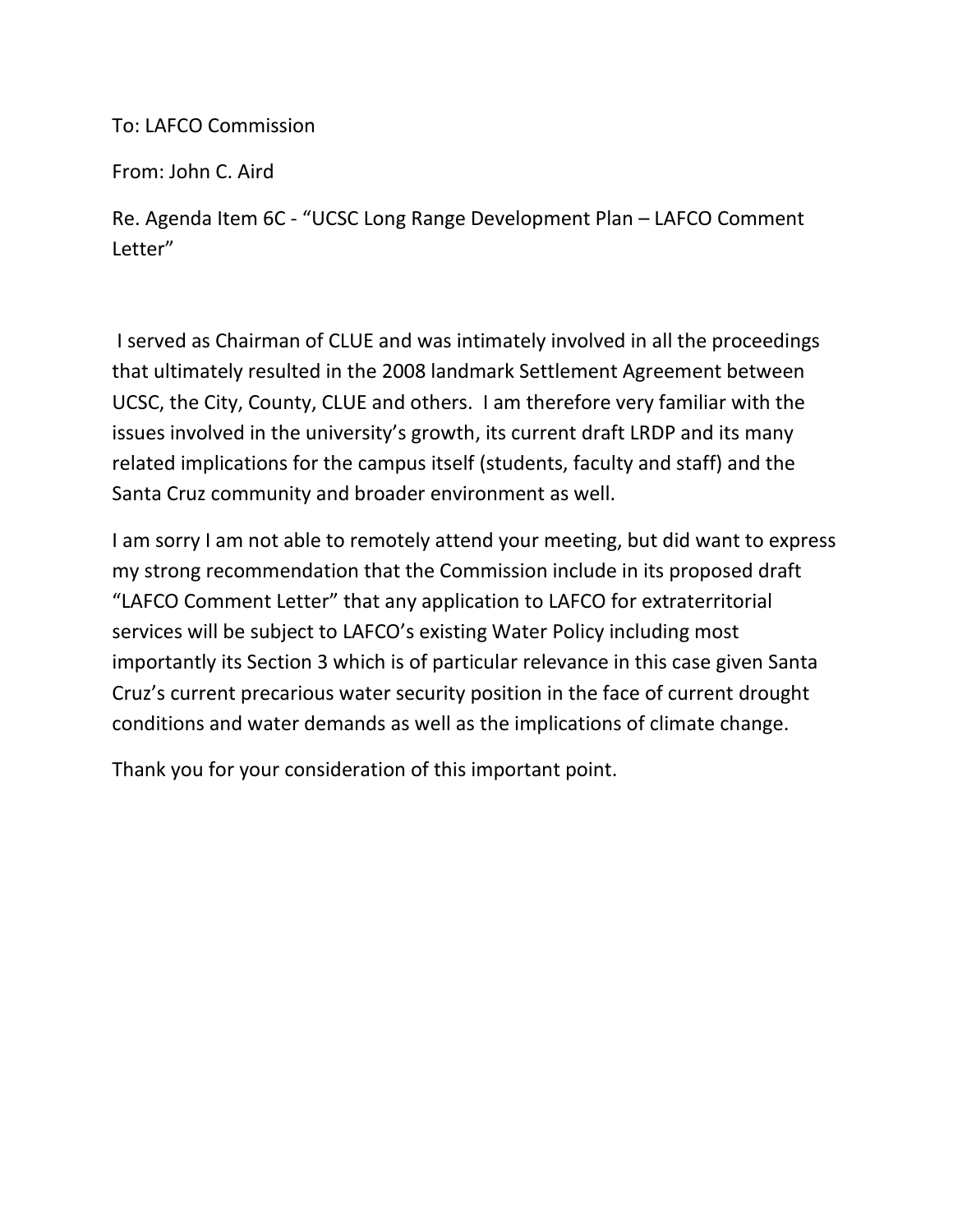To: LAFCO Commission

From: John C. Aird

Re. Agenda Item 6C - "UCSC Long Range Development Plan – LAFCO Comment Letter"

I served as Chairman of CLUE and was intimately involved in all the proceedings that ultimately resulted in the 2008 landmark Settlement Agreement between UCSC, the City, County, CLUE and others. I am therefore very familiar with the issues involved in the university's growth, its current draft LRDP and its many related implications for the campus itself (students, faculty and staff) and the Santa Cruz community and broader environment as well.

I am sorry I am not able to remotely attend your meeting, but did want to express my strong recommendation that the Commission include in its proposed draft "LAFCO Comment Letter" that any application to LAFCO for extraterritorial services will be subject to LAFCO's existing Water Policy including most importantly its Section 3 which is of particular relevance in this case given Santa Cruz's current precarious water security position in the face of current drought conditions and water demands as well as the implications of climate change.

Thank you for your consideration of this important point.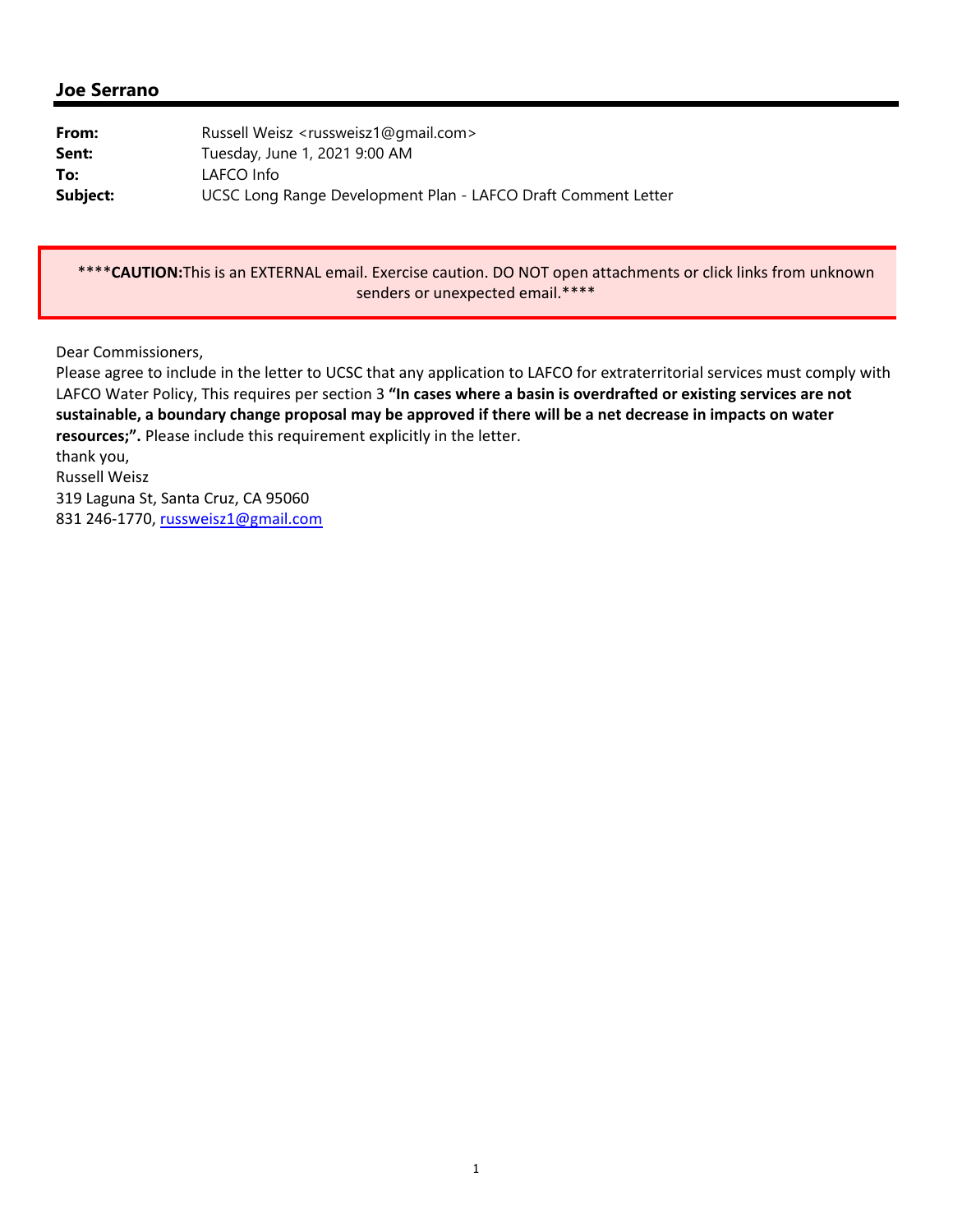## **Joe Serrano**

| Russell Weisz <russweisz1@gmail.com></russweisz1@gmail.com>   |
|---------------------------------------------------------------|
| Tuesday, June 1, 2021 9:00 AM                                 |
| LAFCO Info                                                    |
| UCSC Long Range Development Plan - LAFCO Draft Comment Letter |
|                                                               |

\*\*\*\***CAUTION:**This is an EXTERNAL email. Exercise caution. DO NOT open attachments or click links from unknown senders or unexpected email.\*\*\*\*

Dear Commissioners,

Please agree to include in the letter to UCSC that any application to LAFCO for extraterritorial services must comply with LAFCO Water Policy, This requires per section 3 **"In cases where a basin is overdrafted or existing services are not** sustainable, a boundary change proposal may be approved if there will be a net decrease in impacts on water **resources;".** Please include this requirement explicitly in the letter.

thank you, Russell Weisz 319 Laguna St, Santa Cruz, CA 95060 831 246-1770, russweisz1@gmail.com